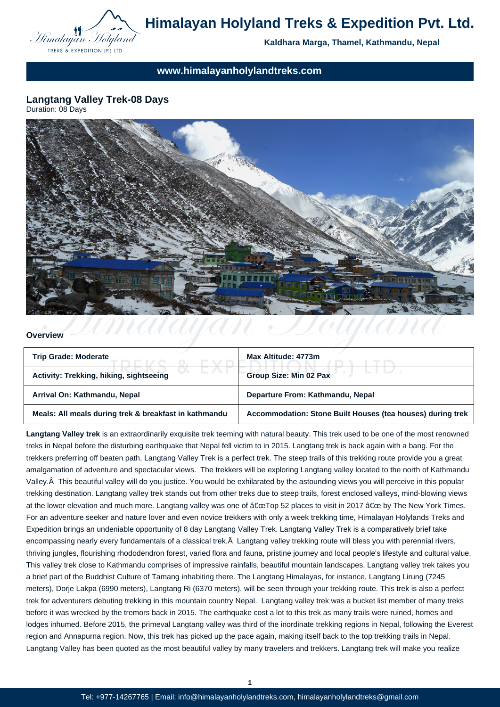

**Kaldhara Marga, Thamel, Kathmandu, Nepal**

**www.himalayanholylandtreks.com**

**Langtang Valley Trek-08 Days** Duration: 08 Days



#### **Overview**

| <b>Trip Grade: Moderate</b>                           | Max Altitude: 4773m                                        |
|-------------------------------------------------------|------------------------------------------------------------|
| Activity: Trekking, hiking, sightseeing               | <b>Group Size: Min 02 Pax</b>                              |
| Arrival On: Kathmandu, Nepal                          | Departure From: Kathmandu, Nepal                           |
| Meals: All meals during trek & breakfast in kathmandu | Accommodation: Stone Built Houses (tea houses) during trek |

**Langtang Valley trek** is an extraordinarily exquisite trek teeming with natural beauty. This trek used to be one of the most renowned treks in Nepal before the disturbing earthquake that Nepal fell victim to in 2015. Langtang trek is back again with a bang. For the trekkers preferring off beaten path, Langtang Valley Trek is a perfect trek. The steep trails of this trekking route provide you a great amalgamation of adventure and spectacular views. The trekkers will be exploring Langtang valley located to the north of Kathmandu Valley. This beautiful valley will do you justice. You would be exhilarated by the astounding views you will perceive in this popular trekking destination. Langtang valley trek stands out from other treks due to steep trails, forest enclosed valleys, mind-blowing views at the lower elevation and much more. Langtang valley was one of "Top 52 places to visit in 2017 " by The New York Times. For an adventure seeker and nature lover and even novice trekkers with only a week trekking time, Himalayan Holylands Treks and Expedition brings an undeniable opportunity of 8 day Langtang Valley Trek. Langtang Valley Trek is a comparatively brief take encompassing nearly every fundamentals of a classical trek. Â Langtang valley trekking route will bless you with perennial rivers, thriving jungles, flourishing rhododendron forest, varied flora and fauna, pristine journey and local people's lifestyle and cultural value. This valley trek close to Kathmandu comprises of impressive rainfalls, beautiful mountain landscapes. Langtang valley trek takes you a brief part of the Buddhist Culture of Tamang inhabiting there. The Langtang Himalayas, for instance, Langtang Lirung (7245 meters), Dorje Lakpa (6990 meters), Langtang Ri (6370 meters), will be seen through your trekking route. This trek is also a perfect trek for adventurers debuting trekking in this mountain country Nepal. Langtang valley trek was a bucket list member of many treks before it was wrecked by the tremors back in 2015. The earthquake cost a lot to this trek as many trails were ruined, homes and lodges inhumed. Before 2015, the primeval Langtang valley was third of the inordinate trekking regions in Nepal, following the Everest region and Annapurna region. Now, this trek has picked up the pace again, making itself back to the top trekking trails in Nepal. Langtang Valley has been quoted as the most beautiful valley by many travelers and trekkers. Langtang trek will make you realize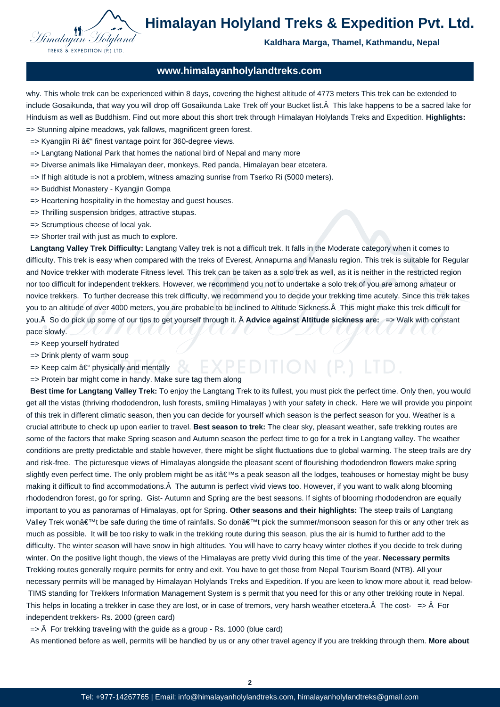

#### **Kaldhara Marga, Thamel, Kathmandu, Nepal**

#### **www.himalayanholylandtreks.com**

why. This whole trek can be experienced within 8 days, covering the highest altitude of 4773 meters This trek can be extended to include Gosaikunda, that way you will drop off Gosaikunda Lake Trek off your Bucket list. A This lake happens to be a sacred lake for Hinduism as well as Buddhism. Find out more about this short trek through Himalayan Holylands Treks and Expedition. **Highlights:** => Stunning alpine meadows, yak fallows, magnificent green forest.

- $\Rightarrow$  Kyangjin Ri â $\epsilon$ " finest vantage point for 360-degree views.
- $\Rightarrow$  Langtang National Park that homes the national bird of Nepal and many more
- => Diverse animals like Himalayan deer, monkeys, Red panda, Himalayan bear etcetera.
- => If high altitude is not a problem, witness amazing sunrise from Tserko Ri (5000 meters).
- => Buddhist Monastery Kyangjin Gompa
- => Heartening hospitality in the homestay and guest houses.
- => Thrilling suspension bridges, attractive stupas.
- => Scrumptious cheese of local yak.
- => Shorter trail with just as much to explore.

 **Langtang Valley Trek Difficulty:** Langtang Valley trek is not a difficult trek. It falls in the Moderate category when it comes to difficulty. This trek is easy when compared with the treks of Everest, Annapurna and Manaslu region. This trek is suitable for Regular and Novice trekker with moderate Fitness level. This trek can be taken as a solo trek as well, as it is neither in the restricted region nor too difficult for independent trekkers. However, we recommend you not to undertake a solo trek of you are among amateur or novice trekkers. To further decrease this trek difficulty, we recommend you to decide your trekking time acutely. Since this trek takes you to an altitude of over 4000 meters, you are probable to be inclined to Altitude Sickness. A This might make this trek difficult for you. Â So do pick up some of our tips to get yourself through it. Â **Advice against Altitude sickness are:**  $\Rightarrow$  Walk with constant pace slowly.

- => Keep yourself hydrated
- => Drink plenty of warm soup
- EXPEDITION (P)  $\Rightarrow$  Keep calm  $\hat{a} \in \hat{B}$  physically and mentally
- => Protein bar might come in handy. Make sure tag them along

 **Best time for Langtang Valley Trek:** To enjoy the Langtang Trek to its fullest, you must pick the perfect time. Only then, you would get all the vistas (thriving rhododendron, lush forests, smiling Himalayas ) with your safety in check. Here we will provide you pinpoint of this trek in different climatic season, then you can decide for yourself which season is the perfect season for you. Weather is a crucial attribute to check up upon earlier to travel. **Best season to trek:** The clear sky, pleasant weather, safe trekking routes are some of the factors that make Spring season and Autumn season the perfect time to go for a trek in Langtang valley. The weather conditions are pretty predictable and stable however, there might be slight fluctuations due to global warming. The steep trails are dry and risk-free. The picturesque views of Himalayas alongside the pleasant scent of flourishing rhododendron flowers make spring slightly even perfect time. The only problem might be as it's a peak season all the lodges, teahouses or homestay might be busy making it difficult to find accommodations. Â The autumn is perfect vivid views too. However, if you want to walk along blooming rhododendron forest, go for spring. Gist- Autumn and Spring are the best seasons. If sights of blooming rhododendron are equally important to you as panoramas of Himalayas, opt for Spring. **Other seasons and their highlights:** The steep trails of Langtang Valley Trek won't be safe during the time of rainfalls. So don't pick the summer/monsoon season for this or any other trek as much as possible. It will be too risky to walk in the trekking route during this season, plus the air is humid to further add to the difficulty. The winter season will have snow in high altitudes. You will have to carry heavy winter clothes if you decide to trek during winter. On the positive light though, the views of the Himalayas are pretty vivid during this time of the year. **Necessary permits** Trekking routes generally require permits for entry and exit. You have to get those from Nepal Tourism Board (NTB). All your necessary permits will be managed by Himalayan Holylands Treks and Expedition. If you are keen to know more about it, read below- TIMS standing for Trekkers Information Management System is s permit that you need for this or any other trekking route in Nepal. This helps in locating a trekker in case they are lost, or in case of tremors, very harsh weather etcetera. $\hat{A}$  The cost-  $\Rightarrow \hat{A}$  For independent trekkers- Rs. 2000 (green card)

 $\Rightarrow$   $\hat{A}$  For trekking traveling with the guide as a group - Rs. 1000 (blue card)

As mentioned before as well, permits will be handled by us or any other travel agency if you are trekking through them. **More about**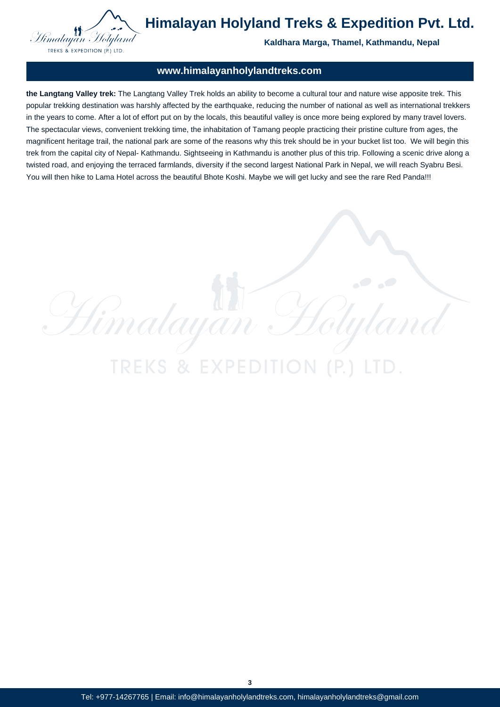

**Kaldhara Marga, Thamel, Kathmandu, Nepal**

### **www.himalayanholylandtreks.com**

**the Langtang Valley trek:** The Langtang Valley Trek holds an ability to become a cultural tour and nature wise apposite trek. This popular trekking destination was harshly affected by the earthquake, reducing the number of national as well as international trekkers in the years to come. After a lot of effort put on by the locals, this beautiful valley is once more being explored by many travel lovers. The spectacular views, convenient trekking time, the inhabitation of Tamang people practicing their pristine culture from ages, the magnificent heritage trail, the national park are some of the reasons why this trek should be in your bucket list too. We will begin this trek from the capital city of Nepal- Kathmandu. Sightseeing in Kathmandu is another plus of this trip. Following a scenic drive along a twisted road, and enjoying the terraced farmlands, diversity if the second largest National Park in Nepal, we will reach Syabru Besi. You will then hike to Lama Hotel across the beautiful Bhote Koshi. Maybe we will get lucky and see the rare Red Panda!!!

**TREKS & EXPE** 

 $\frac{1}{2}$ 

Himalayan

**3**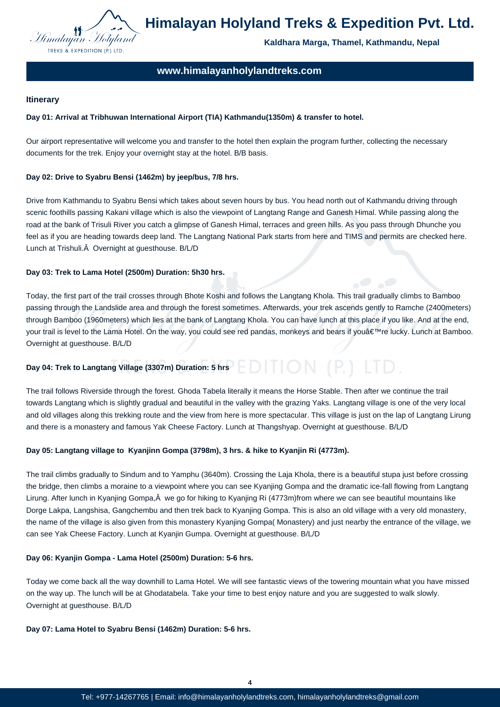

**Kaldhara Marga, Thamel, Kathmandu, Nepal**

### **www.himalayanholylandtreks.com**

#### **Itinerary**

#### **Day 01: Arrival at Tribhuwan International Airport (TIA) Kathmandu(1350m) & transfer to hotel.**

Our airport representative will welcome you and transfer to the hotel then explain the program further, collecting the necessary documents for the trek. Enjoy your overnight stay at the hotel. B/B basis.

#### **Day 02: Drive to Syabru Bensi (1462m) by jeep/bus, 7/8 hrs.**

Drive from Kathmandu to Syabru Bensi which takes about seven hours by bus. You head north out of Kathmandu driving through scenic foothills passing Kakani village which is also the viewpoint of Langtang Range and Ganesh Himal. While passing along the road at the bank of Trisuli River you catch a glimpse of Ganesh Himal, terraces and green hills. As you pass through Dhunche you feel as if you are heading towards deep land. The Langtang National Park starts from here and TIMS and permits are checked here. Lunch at Trishuli. Â Overnight at guesthouse. B/L/D

#### **Day 03: Trek to Lama Hotel (2500m) Duration: 5h30 hrs.**

Today, the first part of the trail crosses through Bhote Koshi and follows the Langtang Khola. This trail gradually climbs to Bamboo passing through the Landslide area and through the forest sometimes. Afterwards, your trek ascends gently to Ramche (2400meters) through Bamboo (1960meters) which lies at the bank of Langtang Khola. You can have lunch at this place if you like. And at the end, your trail is level to the Lama Hotel. On the way, you could see red pandas, monkeys and bears if you're lucky. Lunch at Bamboo. Overnight at guesthouse. B/L/D

# **Day 04: Trek to Langtang Village (3307m) Duration: 5 hrs**

The trail follows Riverside through the forest. Ghoda Tabela literally it means the Horse Stable. Then after we continue the trail towards Langtang which is slightly gradual and beautiful in the valley with the grazing Yaks. Langtang village is one of the very local and old villages along this trekking route and the view from here is more spectacular. This village is just on the lap of Langtang Lirung and there is a monastery and famous Yak Cheese Factory. Lunch at Thangshyap. Overnight at guesthouse. B/L/D

#### **Day 05: Langtang village to Kyanjinn Gompa (3798m), 3 hrs. & hike to Kyanjin Ri (4773m).**

The trail climbs gradually to Sindum and to Yamphu (3640m). Crossing the Laja Khola, there is a beautiful stupa just before crossing the bridge, then climbs a moraine to a viewpoint where you can see Kyanjing Gompa and the dramatic ice-fall flowing from Langtang Lirung. After lunch in Kyanjing Gompa, Â we go for hiking to Kyanjing Ri (4773m)from where we can see beautiful mountains like Dorge Lakpa, Langshisa, Gangchembu and then trek back to Kyanjing Gompa. This is also an old village with a very old monastery, the name of the village is also given from this monastery Kyanjing Gompa( Monastery) and just nearby the entrance of the village, we can see Yak Cheese Factory. Lunch at Kyanjin Gumpa. Overnight at guesthouse. B/L/D

#### **Day 06: Kyanjin Gompa - Lama Hotel (2500m) Duration: 5-6 hrs.**

Today we come back all the way downhill to Lama Hotel. We will see fantastic views of the towering mountain what you have missed on the way up. The lunch will be at Ghodatabela. Take your time to best enjoy nature and you are suggested to walk slowly. Overnight at guesthouse. B/L/D

#### **Day 07: Lama Hotel to Syabru Bensi (1462m) Duration: 5-6 hrs.**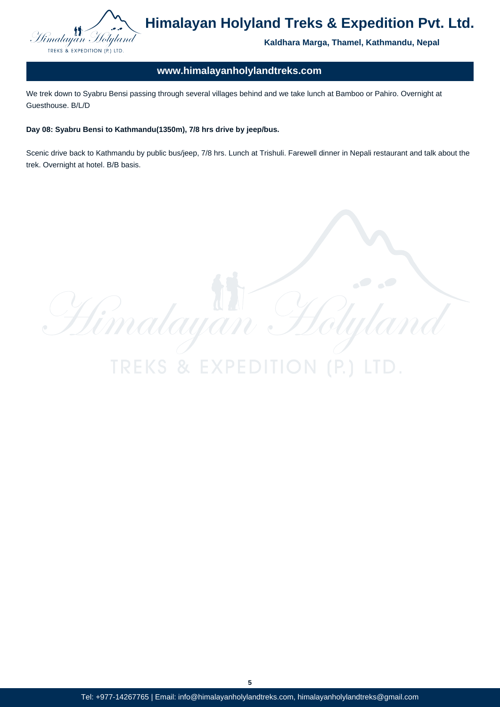

**Kaldhara Marga, Thamel, Kathmandu, Nepal**

Ufl

### **www.himalayanholylandtreks.com**

We trek down to Syabru Bensi passing through several villages behind and we take lunch at Bamboo or Pahiro. Overnight at Guesthouse. B/L/D

#### **Day 08: Syabru Bensi to Kathmandu(1350m), 7/8 hrs drive by jeep/bus.**

Scenic drive back to Kathmandu by public bus/jeep, 7/8 hrs. Lunch at Trishuli. Farewell dinner in Nepali restaurant and talk about the trek. Overnight at hotel. B/B basis.

Himalayan H **TREKS & EXPE** 

**5**